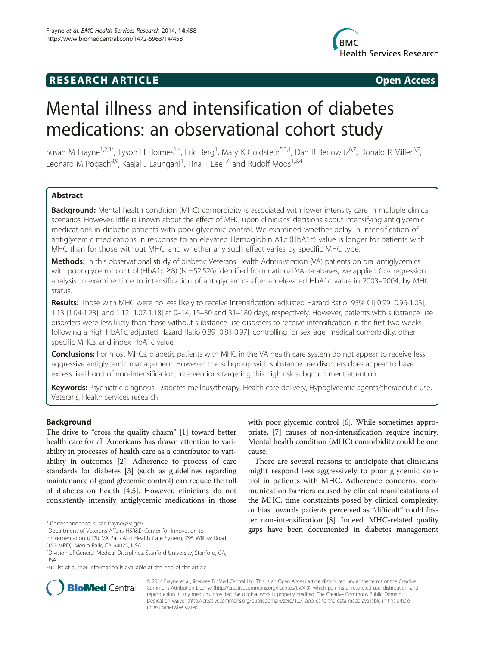# <span id="page-0-0"></span>**RESEARCH ARTICLE Example 2014 CONSIDERING CONSIDERING CONSIDERING CONSIDERING CONSIDERING CONSIDERING CONSIDERING CONSIDERING CONSIDERING CONSIDERING CONSIDERING CONSIDERING CONSIDERING CONSIDERING CONSIDERING CONSIDE**



# Mental illness and intensification of diabetes medications: an observational cohort study

Susan M Frayne<sup>1,2,3\*</sup>, Tyson H Holmes<sup>1,4</sup>, Eric Berg<sup>1</sup>, Mary K Goldstein<sup>5,3,1</sup>, Dan R Berlowitz<sup>6,7</sup>, Donald R Miller<sup>6,7</sup>, Leonard M Pogach<sup>8,9</sup>, Kaajal J Laungani<sup>1</sup>, Tina T Lee<sup>1,4</sup> and Rudolf Moos<sup>1,3,4</sup>

# **Abstract**

Background: Mental health condition (MHC) comorbidity is associated with lower intensity care in multiple clinical scenarios. However, little is known about the effect of MHC upon clinicians' decisions about intensifying antiglycemic medications in diabetic patients with poor glycemic control. We examined whether delay in intensification of antiglycemic medications in response to an elevated Hemoglobin A1c (HbA1c) value is longer for patients with MHC than for those without MHC, and whether any such effect varies by specific MHC type.

Methods: In this observational study of diabetic Veterans Health Administration (VA) patients on oral antiglycemics with poor glycemic control (HbA1c ≥8) (N = 52,526) identified from national VA databases, we applied Cox regression analysis to examine time to intensification of antiglycemics after an elevated HbA1c value in 2003–2004, by MHC status.

Results: Those with MHC were no less likely to receive intensification: adjusted Hazard Ratio [95% CI] 0.99 [0.96-1.03], 1.13 [1.04-1.23], and 1.12 [1.07-1.18] at 0–14, 15–30 and 31–180 days, respectively. However, patients with substance use disorders were less likely than those without substance use disorders to receive intensification in the first two weeks following a high HbA1c, adjusted Hazard Ratio 0.89 [0.81-0.97], controlling for sex, age, medical comorbidity, other specific MHCs, and index HbA1c value.

Conclusions: For most MHCs, diabetic patients with MHC in the VA health care system do not appear to receive less aggressive antiglycemic management. However, the subgroup with substance use disorders does appear to have excess likelihood of non-intensification; interventions targeting this high risk subgroup merit attention.

Keywords: Psychiatric diagnosis, Diabetes mellitus/therapy, Health care delivery, Hypoglycemic agents/therapeutic use, Veterans, Health services research

# Background

The drive to "cross the quality chasm" [\[1](#page-11-0)] toward better health care for all Americans has drawn attention to variability in processes of health care as a contributor to variability in outcomes [\[2](#page-11-0)]. Adherence to process of care standards for diabetes [\[3\]](#page-11-0) (such as guidelines regarding maintenance of good glycemic control) can reduce the toll of diabetes on health [\[4,5\]](#page-11-0). However, clinicians do not consistently intensify antiglycemic medications in those



There are several reasons to anticipate that clinicians might respond less aggressively to poor glycemic control in patients with MHC. Adherence concerns, communication barriers caused by clinical manifestations of the MHC, time constraints posed by clinical complexity, or bias towards patients perceived as "difficult" could foster non-intensification [\[8\]](#page-11-0). Indeed, MHC-related quality er non-intensincation [o]. Indeed, MFIC-related quality<br>
<sup>1</sup>Department of Veterans Affairs HSR&D Center for Innovation to **1988** and **1988** and **1989** and **1999** and **1999** and **1999** and **1999** and **1999** and **1999** and



© 2014 Frayne et al.; licensee BioMed Central Ltd. This is an Open Access article distributed under the terms of the Creative Commons Attribution License [\(http://creativecommons.org/licenses/by/4.0\)](http://creativecommons.org/licenses/by/4.0), which permits unrestricted use, distribution, and reproduction in any medium, provided the original work is properly credited. The Creative Commons Public Domain Dedication waiver [\(http://creativecommons.org/publicdomain/zero/1.0/](http://creativecommons.org/publicdomain/zero/1.0/)) applies to the data made available in this article, unless otherwise stated.

Department of Veterans Affairs HSR&D Center for Innovation to

Implementation (Ci2i), VA Palo Alto Health Care System, 795 Willow Road (152-MPD), Menlo Park, CA 94025, USA

<sup>2</sup> Division of General Medical Disciplines, Stanford University, Stanford, CA, USA

Full list of author information is available at the end of the article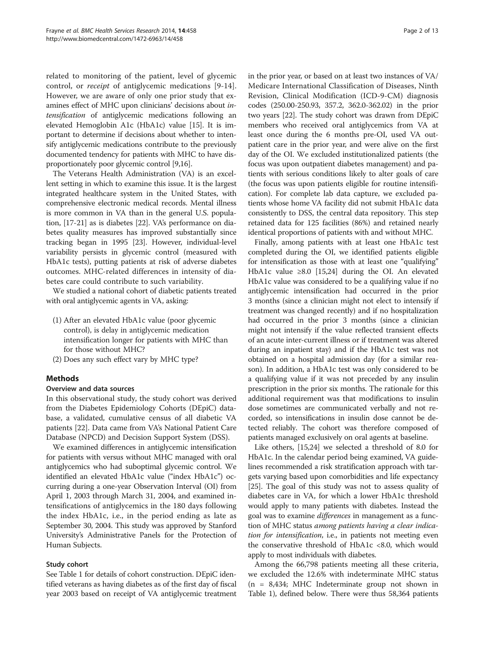<span id="page-1-0"></span>related to monitoring of the patient, level of glycemic control, or receipt of antiglycemic medications [\[9-14](#page-11-0)]. However, we are aware of only one prior study that examines effect of MHC upon clinicians' decisions about intensification of antiglycemic medications following an elevated Hemoglobin A1c (HbA1c) value [[15](#page-11-0)]. It is important to determine if decisions about whether to intensify antiglycemic medications contribute to the previously documented tendency for patients with MHC to have disproportionately poor glycemic control [[9,16](#page-11-0)].

The Veterans Health Administration (VA) is an excellent setting in which to examine this issue. It is the largest integrated healthcare system in the United States, with comprehensive electronic medical records. Mental illness is more common in VA than in the general U.S. population, [\[17-21\]](#page-11-0) as is diabetes [\[22](#page-11-0)]. VA's performance on diabetes quality measures has improved substantially since tracking began in 1995 [[23\]](#page-11-0). However, individual-level variability persists in glycemic control (measured with HbA1c tests), putting patients at risk of adverse diabetes outcomes. MHC-related differences in intensity of diabetes care could contribute to such variability.

We studied a national cohort of diabetic patients treated with oral antiglycemic agents in VA, asking:

- (1) After an elevated HbA1c value (poor glycemic control), is delay in antiglycemic medication intensification longer for patients with MHC than for those without MHC?
- (2) Does any such effect vary by MHC type?

# Methods

# Overview and data sources

In this observational study, the study cohort was derived from the Diabetes Epidemiology Cohorts (DEpiC) database, a validated, cumulative census of all diabetic VA patients [[22\]](#page-11-0). Data came from VA's National Patient Care Database (NPCD) and Decision Support System (DSS).

We examined differences in antiglycemic intensification for patients with versus without MHC managed with oral antiglycemics who had suboptimal glycemic control. We identified an elevated HbA1c value ("index HbA1c") occurring during a one-year Observation Interval (OI) from April 1, 2003 through March 31, 2004, and examined intensifications of antiglycemics in the 180 days following the index HbA1c, i.e., in the period ending as late as September 30, 2004. This study was approved by Stanford University's Administrative Panels for the Protection of Human Subjects.

#### Study cohort

See Table [1](#page-2-0) for details of cohort construction. DEpiC identified veterans as having diabetes as of the first day of fiscal year 2003 based on receipt of VA antiglycemic treatment

in the prior year, or based on at least two instances of VA/ Medicare International Classification of Diseases, Ninth Revision, Clinical Modification (ICD-9-CM) diagnosis codes (250.00-250.93, 357.2, 362.0-362.02) in the prior two years [[22](#page-11-0)]. The study cohort was drawn from DEpiC members who received oral antiglycemics from VA at least once during the 6 months pre-OI, used VA outpatient care in the prior year, and were alive on the first day of the OI. We excluded institutionalized patients (the focus was upon outpatient diabetes management) and patients with serious conditions likely to alter goals of care (the focus was upon patients eligible for routine intensification). For complete lab data capture, we excluded patients whose home VA facility did not submit HbA1c data consistently to DSS, the central data repository. This step retained data for 125 facilities (86%) and retained nearly identical proportions of patients with and without MHC.

Finally, among patients with at least one HbA1c test completed during the OI, we identified patients eligible for intensification as those with at least one "qualifying" HbA1c value ≥8.0 [[15,24\]](#page-11-0) during the OI. An elevated HbA1c value was considered to be a qualifying value if no antiglycemic intensification had occurred in the prior 3 months (since a clinician might not elect to intensify if treatment was changed recently) and if no hospitalization had occurred in the prior 3 months (since a clinician might not intensify if the value reflected transient effects of an acute inter-current illness or if treatment was altered during an inpatient stay) and if the HbA1c test was not obtained on a hospital admission day (for a similar reason). In addition, a HbA1c test was only considered to be a qualifying value if it was not preceded by any insulin prescription in the prior six months. The rationale for this additional requirement was that modifications to insulin dose sometimes are communicated verbally and not recorded, so intensifications in insulin dose cannot be detected reliably. The cohort was therefore composed of patients managed exclusively on oral agents at baseline.

Like others, [[15,24\]](#page-11-0) we selected a threshold of 8.0 for HbA1c. In the calendar period being examined, VA guidelines recommended a risk stratification approach with targets varying based upon comorbidities and life expectancy [[25](#page-11-0)]. The goal of this study was not to assess quality of diabetes care in VA, for which a lower HbA1c threshold would apply to many patients with diabetes. Instead the goal was to examine *differences* in management as a function of MHC status among patients having a clear indication for intensification, i.e., in patients not meeting even the conservative threshold of HbA1c <8.0, which would apply to most individuals with diabetes.

Among the 66,798 patients meeting all these criteria, we excluded the 12.6% with indeterminate MHC status (n = 8,434; MHC Indeterminate group not shown in Table [1\)](#page-2-0), defined below. There were thus 58,364 patients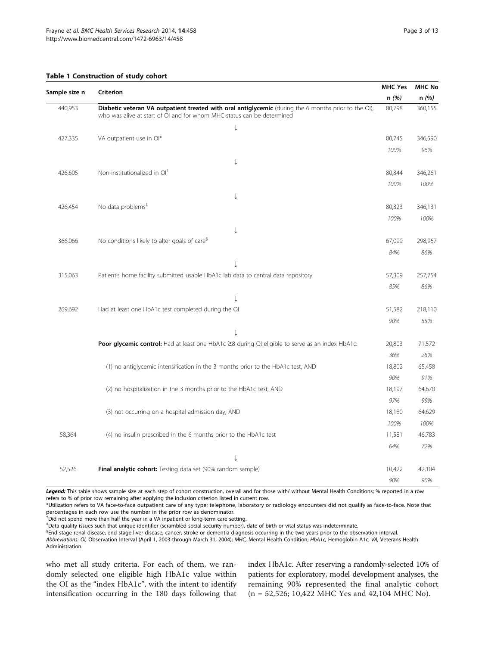#### <span id="page-2-0"></span>Table 1 Construction of study cohort

|               |                                                                                                                                                                                | <b>MHC Yes</b> | <b>MHC No</b> |
|---------------|--------------------------------------------------------------------------------------------------------------------------------------------------------------------------------|----------------|---------------|
| Sample size n | Criterion                                                                                                                                                                      | n (%)          | n (%)         |
| 440,953       | Diabetic veteran VA outpatient treated with oral antiglycemic (during the 6 months prior to the OI),<br>who was alive at start of OI and for whom MHC status can be determined | 80,798         | 360,155       |
|               | $\downarrow$                                                                                                                                                                   |                |               |
| 427,335       | VA outpatient use in Ol*                                                                                                                                                       | 80,745         | 346,590       |
|               |                                                                                                                                                                                | 100%           | 96%           |
|               | ↓                                                                                                                                                                              |                |               |
| 426,605       | Non-institutionalized in Ol <sup>+</sup>                                                                                                                                       | 80,344         | 346,261       |
|               |                                                                                                                                                                                | 100%           | 100%          |
|               | ↓                                                                                                                                                                              |                |               |
| 426,454       | No data problems <sup>#</sup>                                                                                                                                                  | 80,323         | 346,131       |
|               |                                                                                                                                                                                | 100%           | 100%          |
|               | ↓                                                                                                                                                                              |                |               |
| 366,066       | No conditions likely to alter goals of care <sup>§</sup>                                                                                                                       | 67,099         | 298,967       |
|               |                                                                                                                                                                                | 84%            | 86%           |
|               |                                                                                                                                                                                |                |               |
| 315,063       | Patient's home facility submitted usable HbA1c lab data to central data repository                                                                                             | 57,309         | 257,754       |
|               |                                                                                                                                                                                | 85%            | 86%           |
|               | ↓                                                                                                                                                                              |                |               |
| 269,692       | Had at least one HbA1c test completed during the OI                                                                                                                            | 51,582         | 218,110       |
|               |                                                                                                                                                                                | 90%            | 85%           |
|               | $\downarrow$                                                                                                                                                                   |                |               |
|               | Poor glycemic control: Had at least one HbA1c ≥8 during OI eligible to serve as an index HbA1c:                                                                                | 20,803         | 71,572        |
|               |                                                                                                                                                                                | 36%            | 28%           |
|               | (1) no antiglycemic intensification in the 3 months prior to the HbA1c test, AND                                                                                               | 18,802         | 65,458        |
|               |                                                                                                                                                                                | 90%            | 91%           |
|               | (2) no hospitalization in the 3 months prior to the HbA1c test, AND                                                                                                            | 18,197         | 64,670        |
|               |                                                                                                                                                                                | 97%            | 99%           |
|               | (3) not occurring on a hospital admission day, AND                                                                                                                             | 18,180         | 64,629        |
|               |                                                                                                                                                                                | 100%           | 100%          |
| 58,364        | (4) no insulin prescribed in the 6 months prior to the HbA1c test                                                                                                              | 11,581         | 46,783        |
|               |                                                                                                                                                                                | 64%            | 72%           |
| 52,526        | J<br>Final analytic cohort: Testing data set (90% random sample)                                                                                                               | 10,422         | 42,104        |
|               |                                                                                                                                                                                | 90%            | 90%           |

Legend: This table shows sample size at each step of cohort construction, overall and for those with/ without Mental Health Conditions; % reported in a row refers to % of prior row remaining after applying the inclusion criterion listed in current row.

\*Utilization refers to VA face-to-face outpatient care of any type; telephone, laboratory or radiology encounters did not qualify as face-to-face. Note that percentages in each row use the number in the prior row as denominator. †

 $^{+}$ Did not spend more than half the year in a VA inpatient or long-term care setting.

‡ Data quality issues such that unique identifier (scrambled social security number), date of birth or vital status was indeterminate.

§End-stage renal disease, end-stage liver disease, cancer, stroke or dementia diagnosis occurring in the two years prior to the observation interval.

Abbreviations: OI, Observation Interval (April 1, 2003 through March 31, 2004); MHC, Mental Health Condition; HbA1c, Hemoglobin A1c; VA, Veterans Health Administration.

who met all study criteria. For each of them, we randomly selected one eligible high HbA1c value within the OI as the "index HbA1c", with the intent to identify intensification occurring in the 180 days following that index HbA1c. After reserving a randomly-selected 10% of patients for exploratory, model development analyses, the remaining 90% represented the final analytic cohort (n = 52,526; 10,422 MHC Yes and 42,104 MHC No).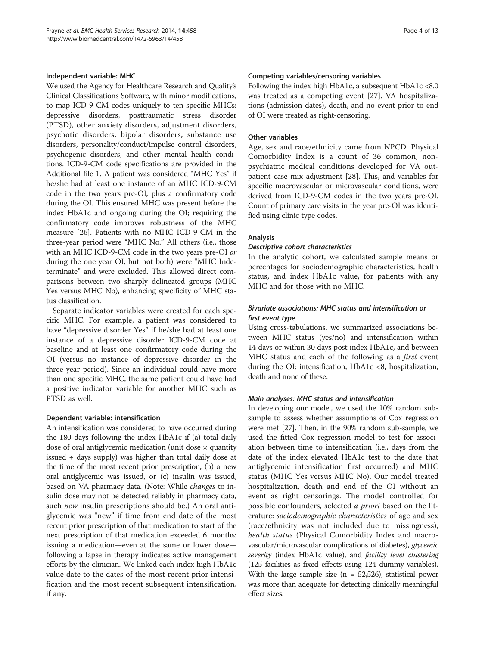# Independent variable: MHC

We used the Agency for Healthcare Research and Quality's Clinical Classifications Software, with minor modifications, to map ICD-9-CM codes uniquely to ten specific MHCs: depressive disorders, posttraumatic stress disorder (PTSD), other anxiety disorders, adjustment disorders, psychotic disorders, bipolar disorders, substance use disorders, personality/conduct/impulse control disorders, psychogenic disorders, and other mental health conditions. ICD-9-CM code specifications are provided in the Additional file [1.](#page-10-0) A patient was considered "MHC Yes" if he/she had at least one instance of an MHC ICD-9-CM code in the two years pre-OI, plus a confirmatory code during the OI. This ensured MHC was present before the index HbA1c and ongoing during the OI; requiring the confirmatory code improves robustness of the MHC measure [[26](#page-11-0)]. Patients with no MHC ICD-9-CM in the three-year period were "MHC No." All others (i.e., those with an MHC ICD-9-CM code in the two years pre-OI or during the one year OI, but not both) were "MHC Indeterminate" and were excluded. This allowed direct comparisons between two sharply delineated groups (MHC Yes versus MHC No), enhancing specificity of MHC status classification.

Separate indicator variables were created for each specific MHC. For example, a patient was considered to have "depressive disorder Yes" if he/she had at least one instance of a depressive disorder ICD-9-CM code at baseline and at least one confirmatory code during the OI (versus no instance of depressive disorder in the three-year period). Since an individual could have more than one specific MHC, the same patient could have had a positive indicator variable for another MHC such as PTSD as well.

# Dependent variable: intensification

An intensification was considered to have occurred during the 180 days following the index HbA1c if (a) total daily dose of oral antiglycemic medication (unit dose  $\times$  quantity issued  $\div$  days supply) was higher than total daily dose at the time of the most recent prior prescription, (b) a new oral antiglycemic was issued, or (c) insulin was issued, based on VA pharmacy data. (Note: While changes to insulin dose may not be detected reliably in pharmacy data, such new insulin prescriptions should be.) An oral antiglycemic was "new" if time from end date of the most recent prior prescription of that medication to start of the next prescription of that medication exceeded 6 months: issuing a medication—even at the same or lower dose following a lapse in therapy indicates active management efforts by the clinician. We linked each index high HbA1c value date to the dates of the most recent prior intensification and the most recent subsequent intensification, if any.

# Competing variables/censoring variables

Following the index high HbA1c, a subsequent HbA1c <8.0 was treated as a competing event [\[27](#page-11-0)]. VA hospitalizations (admission dates), death, and no event prior to end of OI were treated as right-censoring.

# Other variables

Age, sex and race/ethnicity came from NPCD. Physical Comorbidity Index is a count of 36 common, nonpsychiatric medical conditions developed for VA outpatient case mix adjustment [[28](#page-11-0)]. This, and variables for specific macrovascular or microvascular conditions, were derived from ICD-9-CM codes in the two years pre-OI. Count of primary care visits in the year pre-OI was identified using clinic type codes.

# Analysis

# Descriptive cohort characteristics

In the analytic cohort, we calculated sample means or percentages for sociodemographic characteristics, health status, and index HbA1c value, for patients with any MHC and for those with no MHC.

# Bivariate associations: MHC status and intensification or first event type

Using cross-tabulations, we summarized associations between MHC status (yes/no) and intensification within 14 days or within 30 days post index HbA1c, and between MHC status and each of the following as a *first* event during the OI: intensification, HbA1c <8, hospitalization, death and none of these.

# Main analyses: MHC status and intensification

In developing our model, we used the 10% random subsample to assess whether assumptions of Cox regression were met [\[27\]](#page-11-0). Then, in the 90% random sub-sample, we used the fitted Cox regression model to test for association between time to intensification (i.e., days from the date of the index elevated HbA1c test to the date that antiglycemic intensification first occurred) and MHC status (MHC Yes versus MHC No). Our model treated hospitalization, death and end of the OI without an event as right censorings. The model controlled for possible confounders, selected *a priori* based on the literature: sociodemographic characteristics of age and sex (race/ethnicity was not included due to missingness), health status (Physical Comorbidity Index and macrovascular/microvascular complications of diabetes), glycemic severity (index HbA1c value), and *facility level clustering* (125 facilities as fixed effects using 124 dummy variables). With the large sample size ( $n = 52,526$ ), statistical power was more than adequate for detecting clinically meaningful effect sizes.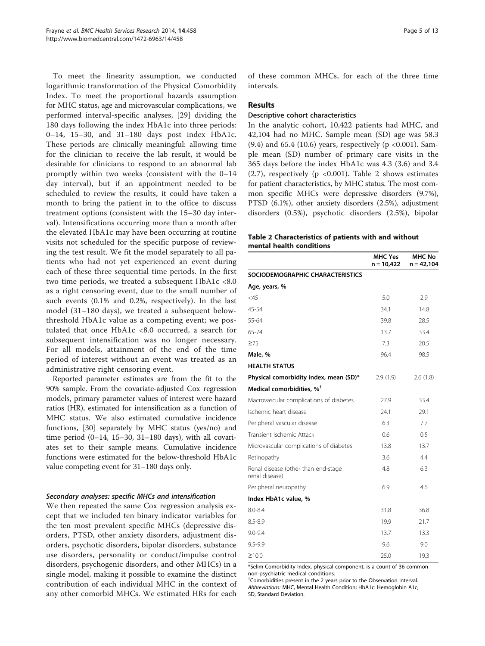<span id="page-4-0"></span>To meet the linearity assumption, we conducted logarithmic transformation of the Physical Comorbidity Index. To meet the proportional hazards assumption for MHC status, age and microvascular complications, we performed interval-specific analyses, [[29\]](#page-11-0) dividing the 180 days following the index HbA1c into three periods: 0–14, 15–30, and 31–180 days post index HbA1c. These periods are clinically meaningful: allowing time for the clinician to receive the lab result, it would be desirable for clinicians to respond to an abnormal lab promptly within two weeks (consistent with the 0–14 day interval), but if an appointment needed to be scheduled to review the results, it could have taken a month to bring the patient in to the office to discuss treatment options (consistent with the 15–30 day interval). Intensifications occurring more than a month after the elevated HbA1c may have been occurring at routine visits not scheduled for the specific purpose of reviewing the test result. We fit the model separately to all patients who had not yet experienced an event during each of these three sequential time periods. In the first two time periods, we treated a subsequent HbA1c <8.0 as a right censoring event, due to the small number of such events (0.1% and 0.2%, respectively). In the last model (31–180 days), we treated a subsequent belowthreshold HbA1c value as a competing event; we postulated that once HbA1c <8.0 occurred, a search for subsequent intensification was no longer necessary. For all models, attainment of the end of the time period of interest without an event was treated as an administrative right censoring event.

Reported parameter estimates are from the fit to the 90% sample. From the covariate-adjusted Cox regression models, primary parameter values of interest were hazard ratios (HR), estimated for intensification as a function of MHC status. We also estimated cumulative incidence functions, [\[30](#page-11-0)] separately by MHC status (yes/no) and time period (0–14, 15–30, 31–180 days), with all covariates set to their sample means. Cumulative incidence functions were estimated for the below-threshold HbA1c value competing event for 31–180 days only.

#### Secondary analyses: specific MHCs and intensification

We then repeated the same Cox regression analysis except that we included ten binary indicator variables for the ten most prevalent specific MHCs (depressive disorders, PTSD, other anxiety disorders, adjustment disorders, psychotic disorders, bipolar disorders, substance use disorders, personality or conduct/impulse control disorders, psychogenic disorders, and other MHCs) in a single model, making it possible to examine the distinct contribution of each individual MHC in the context of any other comorbid MHCs. We estimated HRs for each

of these common MHCs, for each of the three time intervals.

## Results

#### Descriptive cohort characteristics

In the analytic cohort, 10,422 patients had MHC, and 42,104 had no MHC. Sample mean (SD) age was 58.3 (9.4) and 65.4 (10.6) years, respectively (p <0.001). Sample mean (SD) number of primary care visits in the 365 days before the index HbA1c was 4.3 (3.6) and 3.4  $(2.7)$ , respectively (p <0.001). Table 2 shows estimates for patient characteristics, by MHC status. The most common specific MHCs were depressive disorders (9.7%), PTSD (6.1%), other anxiety disorders (2.5%), adjustment disorders (0.5%), psychotic disorders (2.5%), bipolar

#### Table 2 Characteristics of patients with and without mental health conditions

|                                                       | <b>MHC Yes</b><br>$n = 10,422$ | <b>MHC No</b><br>$n = 42,104$ |
|-------------------------------------------------------|--------------------------------|-------------------------------|
| SOCIODEMOGRAPHIC CHARACTERISTICS                      |                                |                               |
| Age, years, %                                         |                                |                               |
| $<$ 45                                                | 5.0                            | 2.9                           |
| 45-54                                                 | 34.1                           | 14.8                          |
| 55-64                                                 | 39.8                           | 28.5                          |
| 65-74                                                 | 13.7                           | 33.4                          |
| $\geq 75$                                             | 7.3                            | 20.5                          |
| Male, %                                               | 96.4                           | 98.5                          |
| <b>HEALTH STATUS</b>                                  |                                |                               |
| Physical comorbidity index, mean (SD)*                | 2.9(1.9)                       | 2.6(1.8)                      |
| Medical comorbidities, % <sup>+</sup>                 |                                |                               |
| Macrovascular complications of diabetes               | 27.9                           | 33.4                          |
| Ischemic heart disease                                | 24.1                           | 29.1                          |
| Peripheral vascular disease                           | 6.3                            | 7.7                           |
| Transient Ischemic Attack                             | 0.6                            | 0.5                           |
| Microvascular complications of diabetes               | 13.8                           | 13.7                          |
| Retinopathy                                           | 3.6                            | 4.4                           |
| Renal disease (other than end-stage<br>renal disease) | 4.8                            | 6.3                           |
| Peripheral neuropathy                                 | 6.9                            | 4.6                           |
| Index HbA1c value, %                                  |                                |                               |
| $8.0 - 8.4$                                           | 31.8                           | 36.8                          |
| $8.5 - 8.9$                                           | 19.9                           | 21.7                          |
| $9.0 - 9.4$                                           | 13.7                           | 13.3                          |
| 9.5-9.9                                               | 9.6                            | 9.0                           |
| $\geq 10.0$                                           | 25.0                           | 19.3                          |

\*Selim Comorbidity Index, physical component, is a count of 36 common non-psychiatric medical conditions.

† Comorbidities present in the 2 years prior to the Observation Interval. Abbreviations: MHC, Mental Health Condition; HbA1c: Hemoglobin A1c; SD, Standard Deviation.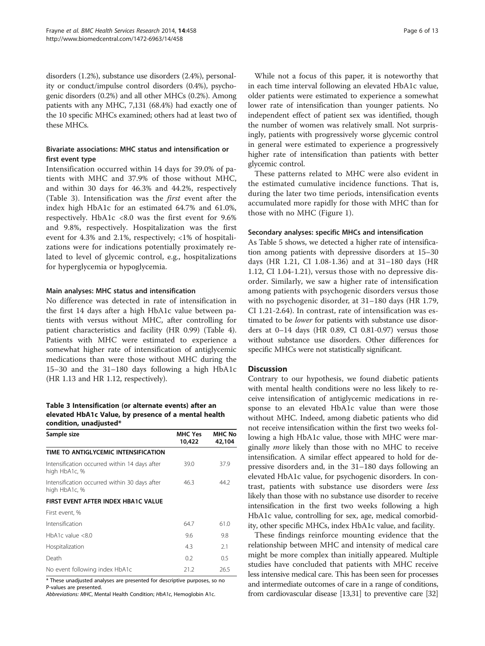<span id="page-5-0"></span>disorders (1.2%), substance use disorders (2.4%), personality or conduct/impulse control disorders (0.4%), psychogenic disorders (0.2%) and all other MHCs (0.2%). Among patients with any MHC, 7,131 (68.4%) had exactly one of the 10 specific MHCs examined; others had at least two of these MHCs.

# Bivariate associations: MHC status and intensification or first event type

Intensification occurred within 14 days for 39.0% of patients with MHC and 37.9% of those without MHC, and within 30 days for 46.3% and 44.2%, respectively (Table 3). Intensification was the first event after the index high HbA1c for an estimated 64.7% and 61.0%, respectively. HbA1c <8.0 was the first event for 9.6% and 9.8%, respectively. Hospitalization was the first event for 4.3% and 2.1%, respectively; <1% of hospitalizations were for indications potentially proximately related to level of glycemic control, e.g., hospitalizations for hyperglycemia or hypoglycemia.

# Main analyses: MHC status and intensification

No difference was detected in rate of intensification in the first 14 days after a high HbA1c value between patients with versus without MHC, after controlling for patient characteristics and facility (HR 0.99) (Table [4](#page-6-0)). Patients with MHC were estimated to experience a somewhat higher rate of intensification of antiglycemic medications than were those without MHC during the 15–30 and the 31–180 days following a high HbA1c (HR 1.13 and HR 1.12, respectively).

# Table 3 Intensification (or alternate events) after an elevated HbA1c Value, by presence of a mental health condition, unadjusted\*

| Sample size                                                    | <b>MHC Yes</b><br>10,422 | <b>MHC No</b><br>42,104 |
|----------------------------------------------------------------|--------------------------|-------------------------|
| TIME TO ANTIGLYCEMIC INTENSIFICATION                           |                          |                         |
| Intensification occurred within 14 days after<br>high HbA1c, % | 39.0                     | 37.9                    |
| Intensification occurred within 30 days after<br>high HbA1c, % | 46.3                     | 44.2                    |
| FIRST EVENT AFTER INDEX HBA1C VALUE                            |                          |                         |
| First event, %                                                 |                          |                         |
| Intensification                                                | 64.7                     | 61.0                    |
| HbA1c value $< 8.0$                                            | 9.6                      | 9.8                     |
| Hospitalization                                                | 4.3                      | 2.1                     |
| Death                                                          | 0.2                      | 0.5                     |
| No event following index HbA1c                                 | 21.2                     | 26.5                    |

\* These unadjusted analyses are presented for descriptive purposes, so no P-values are presented.

Abbreviations: MHC, Mental Health Condition; HbA1c, Hemoglobin A1c.

While not a focus of this paper, it is noteworthy that in each time interval following an elevated HbA1c value, older patients were estimated to experience a somewhat lower rate of intensification than younger patients. No independent effect of patient sex was identified, though the number of women was relatively small. Not surprisingly, patients with progressively worse glycemic control in general were estimated to experience a progressively higher rate of intensification than patients with better glycemic control.

These patterns related to MHC were also evident in the estimated cumulative incidence functions. That is, during the later two time periods, intensification events accumulated more rapidly for those with MHC than for those with no MHC (Figure [1\)](#page-7-0).

### Secondary analyses: specific MHCs and intensification

As Table [5](#page-8-0) shows, we detected a higher rate of intensification among patients with depressive disorders at 15–30 days (HR 1.21, CI 1.08-1.36) and at 31–180 days (HR 1.12, CI 1.04-1.21), versus those with no depressive disorder. Similarly, we saw a higher rate of intensification among patients with psychogenic disorders versus those with no psychogenic disorder, at 31–180 days (HR 1.79, CI 1.21-2.64). In contrast, rate of intensification was estimated to be *lower* for patients with substance use disorders at 0–14 days (HR 0.89, CI 0.81-0.97) versus those without substance use disorders. Other differences for specific MHCs were not statistically significant.

#### **Discussion**

Contrary to our hypothesis, we found diabetic patients with mental health conditions were no less likely to receive intensification of antiglycemic medications in response to an elevated HbA1c value than were those without MHC. Indeed, among diabetic patients who did not receive intensification within the first two weeks following a high HbA1c value, those with MHC were marginally *more* likely than those with no MHC to receive intensification. A similar effect appeared to hold for depressive disorders and, in the 31–180 days following an elevated HbA1c value, for psychogenic disorders. In contrast, patients with substance use disorders were less likely than those with no substance use disorder to receive intensification in the first two weeks following a high HbA1c value, controlling for sex, age, medical comorbidity, other specific MHCs, index HbA1c value, and facility.

These findings reinforce mounting evidence that the relationship between MHC and intensity of medical care might be more complex than initially appeared. Multiple studies have concluded that patients with MHC receive less intensive medical care. This has been seen for processes and intermediate outcomes of care in a range of conditions, from cardiovascular disease [\[13,31](#page-11-0)] to preventive care [\[32](#page-11-0)]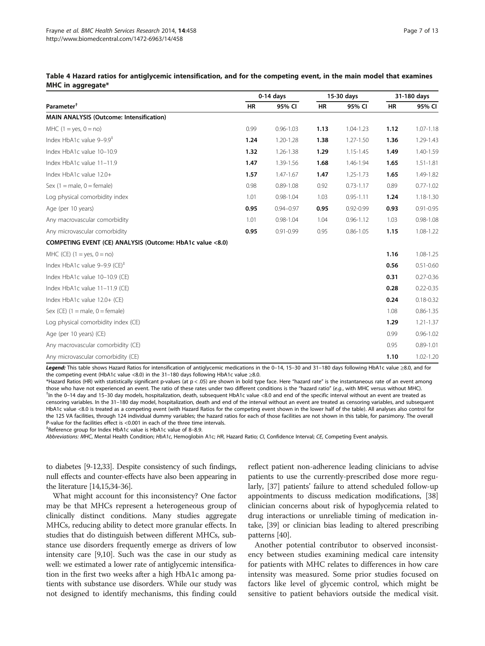|                                                           | $0-14$ days |               | 15-30 days |               | 31-180 days |               |
|-----------------------------------------------------------|-------------|---------------|------------|---------------|-------------|---------------|
| Parameter <sup>+</sup>                                    | <b>HR</b>   | 95% CI        | <b>HR</b>  | 95% CI        | <b>HR</b>   | 95% CI        |
| MAIN ANALYSIS (Outcome: Intensification)                  |             |               |            |               |             |               |
| MHC $(1 = yes, 0 = no)$                                   | 0.99        | $0.96 - 1.03$ | 1.13       | 1.04-1.23     | 1.12        | 1.07-1.18     |
| Index HbA1c value 9-9.9 <sup>#</sup>                      | 1.24        | 1.20-1.28     | 1.38       | $1.27 - 1.50$ | 1.36        | 1.29-1.43     |
| Index HbA1c value 10-10.9                                 | 1.32        | 1.26-1.38     | 1.29       | $1.15 - 1.45$ | 1.49        | 1.40-1.59     |
| Index HbA1c value 11-11.9                                 | 1.47        | 1.39-1.56     | 1.68       | 1.46-1.94     | 1.65        | $1.51 - 1.81$ |
| Index HbA1c value 12.0+                                   | 1.57        | 1.47-1.67     | 1.47       | 1.25-1.73     | 1.65        | 1.49-1.82     |
| Sex $(1 = male, 0 = female)$                              | 0.98        | $0.89 - 1.08$ | 0.92       | $0.73 - 1.17$ | 0.89        | $0.77 - 1.02$ |
| Log physical comorbidity index                            | 1.01        | $0.98 - 1.04$ | 1.03       | $0.95 - 1.11$ | 1.24        | 1.18-1.30     |
| Age (per 10 years)                                        | 0.95        | $0.94 - 0.97$ | 0.95       | $0.92 - 0.99$ | 0.93        | $0.91 - 0.95$ |
| Any macrovascular comorbidity                             | 1.01        | $0.98 - 1.04$ | 1.04       | $0.96 - 1.12$ | 1.03        | $0.98 - 1.08$ |
| Any microvascular comorbidity                             | 0.95        | $0.91 - 0.99$ | 0.95       | $0.86 - 1.05$ | 1.15        | 1.08-1.22     |
| COMPETING EVENT (CE) ANALYSIS (Outcome: HbA1c value <8.0) |             |               |            |               |             |               |
| MHC (CE) $(1 = yes, 0 = no)$                              |             |               |            |               | 1.16        | 1.08-1.25     |
| Index HbA1c value $9-9.9$ (CE) <sup>‡</sup>               |             |               |            |               | 0.56        | $0.51 - 0.60$ |
| Index HbA1c value 10-10.9 (CE)                            |             |               |            |               | 0.31        | $0.27 - 0.36$ |
| Index HbA1c value 11-11.9 (CE)                            |             |               |            |               | 0.28        | $0.22 - 0.35$ |
| Index HbA1c value 12.0+ (CE)                              |             |               |            |               | 0.24        | $0.18 - 0.32$ |
| Sex (CE) $(1 = male, 0 = female)$                         |             |               |            |               | 1.08        | $0.86 - 1.35$ |
| Log physical comorbidity index (CE)                       |             |               |            |               | 1.29        | $1.21 - 1.37$ |
| Age (per 10 years) (CE)                                   |             |               |            |               | 0.99        | $0.96 - 1.02$ |
| Any macrovascular comorbidity (CE)                        |             |               |            |               | 0.95        | $0.89 - 1.01$ |
| Any microvascular comorbidity (CE)                        |             |               |            |               | 1.10        | $1.02 - 1.20$ |

<span id="page-6-0"></span>Table 4 Hazard ratios for antiglycemic intensification, and for the competing event, in the main model that examines MHC in aggregate\*

Legend: This table shows Hazard Ratios for intensification of antiglycemic medications in the 0-14, 15-30 and 31-180 days following HbA1c value ≥8.0, and for the competing event (HbA1c value <8.0) in the 31–180 days following HbA1c value ≥8.0.

\*Hazard Ratios (HR) with statistically significant p-values (at p < .05) are shown in bold type face. Here "hazard rate" is the instantaneous rate of an event among those who have not experienced an event. The ratio of these rates under two different conditions is the "hazard ratio" (e.q., with MHC versus without MHC). In the 0–14 day and 15–30 day models, hospitalization, death, subsequent HbA1c value <8.0 and end of the specific interval without an event are treated as censoring variables. In the 31–180 day model, hospitalization, death and end of the interval without an event are treated as censoring variables, and subsequent HbA1c value <8.0 is treated as a competing event (with Hazard Ratios for the competing event shown in the lower half of the table). All analyses also control for the 125 VA facilities, through 124 individual dummy variables; the hazard ratios for each of those facilities are not shown in this table, for parsimony. The overall P-value for the facilities effect is <0.001 in each of the three time intervals.

‡ Reference group for Index HbA1c value is HbA1c value of 8–8.9.

Abbreviations: MHC, Mental Health Condition; HbA1c, Hemoglobin A1c; HR, Hazard Ratio; CI, Confidence Interval; CE, Competing Event analysis.

to diabetes [\[9-12,33\]](#page-11-0). Despite consistency of such findings, null effects and counter-effects have also been appearing in the literature [[14,15,34-36\]](#page-11-0).

What might account for this inconsistency? One factor may be that MHCs represent a heterogeneous group of clinically distinct conditions. Many studies aggregate MHCs, reducing ability to detect more granular effects. In studies that do distinguish between different MHCs, substance use disorders frequently emerge as drivers of low intensity care [\[9,10](#page-11-0)]. Such was the case in our study as well: we estimated a lower rate of antiglycemic intensification in the first two weeks after a high HbA1c among patients with substance use disorders. While our study was not designed to identify mechanisms, this finding could reflect patient non-adherence leading clinicians to advise patients to use the currently-prescribed dose more regularly, [\[37\]](#page-11-0) patients' failure to attend scheduled follow-up appointments to discuss medication modifications, [[38](#page-11-0)] clinician concerns about risk of hypoglycemia related to drug interactions or unreliable timing of medication intake, [[39](#page-11-0)] or clinician bias leading to altered prescribing patterns [\[40\]](#page-12-0).

Another potential contributor to observed inconsistency between studies examining medical care intensity for patients with MHC relates to differences in how care intensity was measured. Some prior studies focused on factors like level of glycemic control, which might be sensitive to patient behaviors outside the medical visit.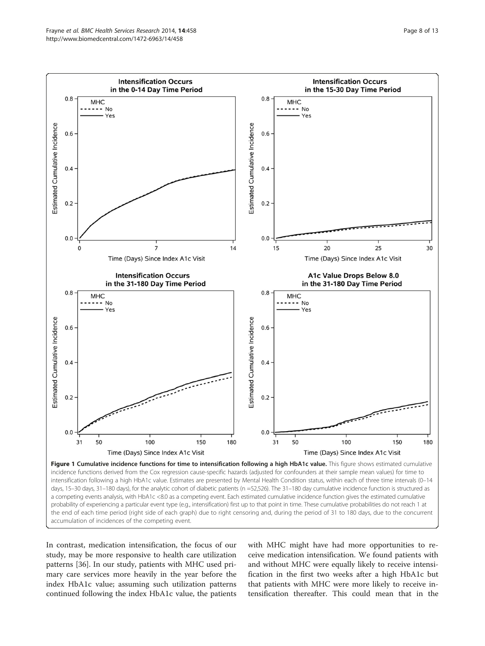<span id="page-7-0"></span>

In contrast, medication intensification, the focus of our study, may be more responsive to health care utilization patterns [\[36](#page-11-0)]. In our study, patients with MHC used primary care services more heavily in the year before the index HbA1c value; assuming such utilization patterns continued following the index HbA1c value, the patients with MHC might have had more opportunities to receive medication intensification. We found patients with and without MHC were equally likely to receive intensification in the first two weeks after a high HbA1c but that patients with MHC were more likely to receive intensification thereafter. This could mean that in the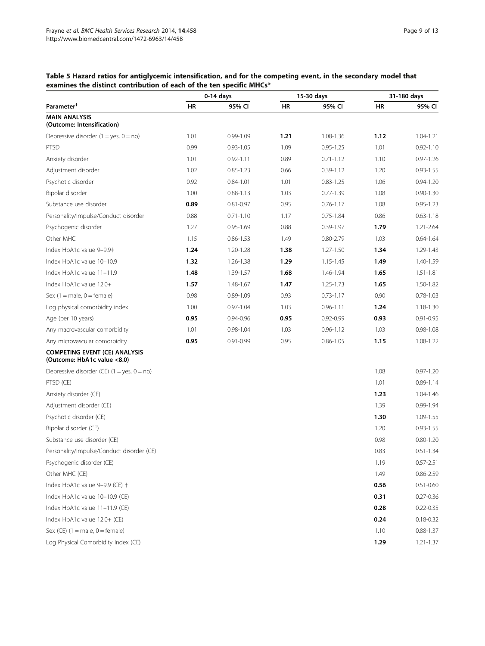|                                                                     |      | $0-14$ days   |      | 15-30 days    |      | 31-180 days   |
|---------------------------------------------------------------------|------|---------------|------|---------------|------|---------------|
| Parameter <sup>†</sup>                                              | HR   | 95% CI        | HR   | 95% CI        | HR   | 95% CI        |
| <b>MAIN ANALYSIS</b><br>(Outcome: Intensification)                  |      |               |      |               |      |               |
| Depressive disorder $(1 = yes, 0 = no)$                             | 1.01 | $0.99 - 1.09$ | 1.21 | 1.08-1.36     | 1.12 | 1.04-1.21     |
| PTSD                                                                | 0.99 | $0.93 - 1.05$ | 1.09 | $0.95 - 1.25$ | 1.01 | $0.92 - 1.10$ |
| Anxiety disorder                                                    | 1.01 | $0.92 - 1.11$ | 0.89 | $0.71 - 1.12$ | 1.10 | $0.97 - 1.26$ |
| Adjustment disorder                                                 | 1.02 | $0.85 - 1.23$ | 0.66 | $0.39 - 1.12$ | 1.20 | $0.93 - 1.55$ |
| Psychotic disorder                                                  | 0.92 | $0.84 - 1.01$ | 1.01 | $0.83 - 1.25$ | 1.06 | $0.94 - 1.20$ |
| Bipolar disorder                                                    | 1.00 | $0.88 - 1.13$ | 1.03 | $0.77 - 1.39$ | 1.08 | $0.90 - 1.30$ |
| Substance use disorder                                              | 0.89 | $0.81 - 0.97$ | 0.95 | $0.76 - 1.17$ | 1.08 | $0.95 - 1.23$ |
| Personality/Impulse/Conduct disorder                                | 0.88 | $0.71 - 1.10$ | 1.17 | $0.75 - 1.84$ | 0.86 | $0.63 - 1.18$ |
| Psychogenic disorder                                                | 1.27 | $0.95 - 1.69$ | 0.88 | $0.39 - 1.97$ | 1.79 | $1.21 - 2.64$ |
| Other MHC                                                           | 1.15 | $0.86 - 1.53$ | 1.49 | $0.80 - 2.79$ | 1.03 | $0.64 - 1.64$ |
| Index HbA1c value 9-9.9‡                                            | 1.24 | 1.20-1.28     | 1.38 | $1.27 - 1.50$ | 1.34 | 1.29-1.43     |
| Index HbA1c value 10-10.9                                           | 1.32 | 1.26-1.38     | 1.29 | 1.15-1.45     | 1.49 | 1.40-1.59     |
| Index HbA1c value 11-11.9                                           | 1.48 | 1.39-1.57     | 1.68 | 1.46-1.94     | 1.65 | $1.51 - 1.81$ |
| Index HbA1c value 12.0+                                             | 1.57 | 1.48-1.67     | 1.47 | 1.25-1.73     | 1.65 | 1.50-1.82     |
| Sex $(1 = male, 0 = female)$                                        | 0.98 | $0.89 - 1.09$ | 0.93 | $0.73 - 1.17$ | 0.90 | $0.78 - 1.03$ |
| Log physical comorbidity index                                      | 1.00 | $0.97 - 1.04$ | 1.03 | $0.96 - 1.11$ | 1.24 | 1.18-1.30     |
| Age (per 10 years)                                                  | 0.95 | $0.94 - 0.96$ | 0.95 | $0.92 - 0.99$ | 0.93 | $0.91 - 0.95$ |
| Any macrovascular comorbidity                                       | 1.01 | $0.98 - 1.04$ | 1.03 | $0.96 - 1.12$ | 1.03 | $0.98 - 1.08$ |
| Any microvascular comorbidity                                       | 0.95 | $0.91 - 0.99$ | 0.95 | $0.86 - 1.05$ | 1.15 | 1.08-1.22     |
| <b>COMPETING EVENT (CE) ANALYSIS</b><br>(Outcome: HbA1c value <8.0) |      |               |      |               |      |               |
| Depressive disorder (CE) $(1 = yes, 0 = no)$                        |      |               |      |               | 1.08 | $0.97 - 1.20$ |
| PTSD (CE)                                                           |      |               |      |               | 1.01 | $0.89 - 1.14$ |
| Anxiety disorder (CE)                                               |      |               |      |               | 1.23 | 1.04-1.46     |
| Adjustment disorder (CE)                                            |      |               |      |               | 1.39 | $0.99 - 1.94$ |
| Psychotic disorder (CE)                                             |      |               |      |               | 1.30 | 1.09-1.55     |
| Bipolar disorder (CE)                                               |      |               |      |               | 1.20 | $0.93 - 1.55$ |
| Substance use disorder (CE)                                         |      |               |      |               | 0.98 | $0.80 - 1.20$ |
| Personality/Impulse/Conduct disorder (CE)                           |      |               |      |               | 0.83 | $0.51 - 1.34$ |
| Psychogenic disorder (CE)                                           |      |               |      |               | 1.19 | $0.57 - 2.51$ |
| Other MHC (CE)                                                      |      |               |      |               | 1.49 | $0.86 - 2.59$ |
| Index HbA1c value 9-9.9 (CE) ‡                                      |      |               |      |               | 0.56 | $0.51 - 0.60$ |
| Index HbA1c value 10-10.9 (CE)                                      |      |               |      |               | 0.31 | $0.27 - 0.36$ |
| Index HbA1c value 11-11.9 (CE)                                      |      |               |      |               | 0.28 | $0.22 - 0.35$ |
| Index HbA1c value 12.0+ (CE)                                        |      |               |      |               | 0.24 | $0.18 - 0.32$ |
| Sex (CE) $(1 = male, 0 = female)$                                   |      |               |      |               | 1.10 | $0.88 - 1.37$ |
| Log Physical Comorbidity Index (CE)                                 |      |               |      |               | 1.29 | $1.21 - 1.37$ |

<span id="page-8-0"></span>Table 5 Hazard ratios for antiglycemic intensification, and for the competing event, in the secondary model that examines the distinct contribution of each of the ten specific MHCs\*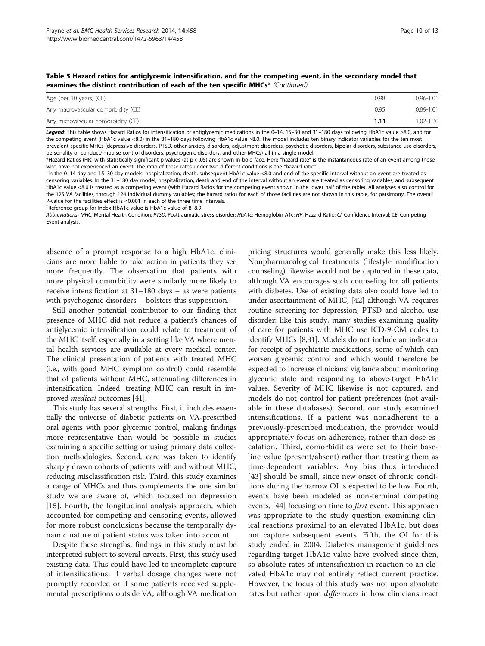| Table 5 Hazard ratios for antiglycemic intensification, and for the competing event, in the secondary model that |
|------------------------------------------------------------------------------------------------------------------|
| examines the distinct contribution of each of the ten specific MHCs* (Continued)                                 |

| Age (per 10 years) (CE)            | 0.98 | $0.96 - 1.01$ |
|------------------------------------|------|---------------|
| Any macrovascular comorbidity (CE) | 0.95 | $0.89 - 1.01$ |
| Any microvascular comorbidity (CE) | 1.11 | 1.02-1.20     |

Legend: This table shows Hazard Ratios for intensification of antiglycemic medications in the 0-14, 15-30 and 31-180 days following HbA1c value ≥8.0, and for the competing event (HbA1c value <8.0) in the 31–180 days following HbA1c value ≥8.0. The model includes ten binary indicator variables for the ten most prevalent specific MHCs (depressive disorders, PTSD, other anxiety disorders, adjustment disorders, psychotic disorders, bipolar disorders, substance use disorders, personality or conduct/impulse control disorders, psychogenic disorders, and other MHCs) all in a single model.

\*Hazard Ratios (HR) with statistically significant p-values (at p < .05) are shown in bold face. Here "hazard rate" is the instantaneous rate of an event among those who have not experienced an event. The ratio of these rates under two different conditions is the "hazard ratio".

In the 0–14 day and 15–30 day models, hospitalization, death, subsequent HbA1c value <8.0 and end of the specific interval without an event are treated as censoring variables. In the 31–180 day model, hospitalization, death and end of the interval without an event are treated as censoring variables, and subsequent HbA1c value <8.0 is treated as a competing event (with Hazard Ratios for the competing event shown in the lower half of the table). All analyses also control for the 125 VA facilities, through 124 individual dummy variables; the hazard ratios for each of those facilities are not shown in this table, for parsimony. The overall P-value for the facilities effect is <0.001 in each of the three time intervals.

‡ Reference group for Index HbA1c value is HbA1c value of 8–8.9.

Abbreviations: MHC, Mental Health Condition; PTSD, Posttraumatic stress disorder; HbA1c: Hemoglobin A1c; HR, Hazard Ratio; CI, Confidence Interval; CE, Competing Event analysis.

absence of a prompt response to a high HbA1c, clinicians are more liable to take action in patients they see more frequently. The observation that patients with more physical comorbidity were similarly more likely to receive intensification at 31–180 days – as were patients with psychogenic disorders – bolsters this supposition.

Still another potential contributor to our finding that presence of MHC did not reduce a patient's chances of antiglycemic intensification could relate to treatment of the MHC itself, especially in a setting like VA where mental health services are available at every medical center. The clinical presentation of patients with treated MHC (i.e., with good MHC symptom control) could resemble that of patients without MHC, attenuating differences in intensification. Indeed, treating MHC can result in improved medical outcomes [[41](#page-12-0)].

This study has several strengths. First, it includes essentially the universe of diabetic patients on VA-prescribed oral agents with poor glycemic control, making findings more representative than would be possible in studies examining a specific setting or using primary data collection methodologies. Second, care was taken to identify sharply drawn cohorts of patients with and without MHC, reducing misclassification risk. Third, this study examines a range of MHCs and thus complements the one similar study we are aware of, which focused on depression [[15\]](#page-11-0). Fourth, the longitudinal analysis approach, which accounted for competing and censoring events, allowed for more robust conclusions because the temporally dynamic nature of patient status was taken into account.

Despite these strengths, findings in this study must be interpreted subject to several caveats. First, this study used existing data. This could have led to incomplete capture of intensifications, if verbal dosage changes were not promptly recorded or if some patients received supplemental prescriptions outside VA, although VA medication

pricing structures would generally make this less likely. Nonpharmacological treatments (lifestyle modification counseling) likewise would not be captured in these data, although VA encourages such counseling for all patients with diabetes. Use of existing data also could have led to under-ascertainment of MHC, [\[42\]](#page-12-0) although VA requires routine screening for depression, PTSD and alcohol use disorder; like this study, many studies examining quality of care for patients with MHC use ICD-9-CM codes to identify MHCs [[8,31](#page-11-0)]. Models do not include an indicator for receipt of psychiatric medications, some of which can worsen glycemic control and which would therefore be expected to increase clinicians' vigilance about monitoring glycemic state and responding to above-target HbA1c values. Severity of MHC likewise is not captured, and models do not control for patient preferences (not available in these databases). Second, our study examined intensifications. If a patient was nonadherent to a previously-prescribed medication, the provider would appropriately focus on adherence, rather than dose escalation. Third, comorbidities were set to their baseline value (present/absent) rather than treating them as time-dependent variables. Any bias thus introduced [[43\]](#page-12-0) should be small, since new onset of chronic conditions during the narrow OI is expected to be low. Fourth, events have been modeled as non-terminal competing events, [\[44](#page-12-0)] focusing on time to first event. This approach was appropriate to the study question examining clinical reactions proximal to an elevated HbA1c, but does not capture subsequent events. Fifth, the OI for this study ended in 2004. Diabetes management guidelines regarding target HbA1c value have evolved since then, so absolute rates of intensification in reaction to an elevated HbA1c may not entirely reflect current practice. However, the focus of this study was not upon absolute rates but rather upon *differences* in how clinicians react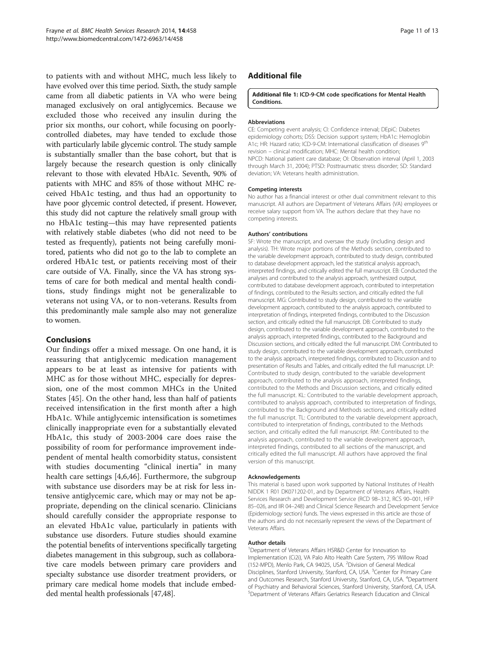<span id="page-10-0"></span>to patients with and without MHC, much less likely to have evolved over this time period. Sixth, the study sample came from all diabetic patients in VA who were being managed exclusively on oral antiglycemics. Because we excluded those who received any insulin during the prior six months, our cohort, while focusing on poorlycontrolled diabetes, may have tended to exclude those with particularly labile glycemic control. The study sample is substantially smaller than the base cohort, but that is largely because the research question is only clinically relevant to those with elevated HbA1c. Seventh, 90% of patients with MHC and 85% of those without MHC received HbA1c testing, and thus had an opportunity to have poor glycemic control detected, if present. However, this study did not capture the relatively small group with no HbA1c testing—this may have represented patients with relatively stable diabetes (who did not need to be tested as frequently), patients not being carefully monitored, patients who did not go to the lab to complete an ordered HbA1c test, or patients receiving most of their care outside of VA. Finally, since the VA has strong systems of care for both medical and mental health conditions, study findings might not be generalizable to veterans not using VA, or to non-veterans. Results from this predominantly male sample also may not generalize to women.

# Conclusions

Our findings offer a mixed message. On one hand, it is reassuring that antiglycemic medication management appears to be at least as intensive for patients with MHC as for those without MHC, especially for depression, one of the most common MHCs in the United States [\[45](#page-12-0)]. On the other hand, less than half of patients received intensification in the first month after a high HbA1c. While antiglycemic intensification is sometimes clinically inappropriate even for a substantially elevated HbA1c, this study of 2003-2004 care does raise the possibility of room for performance improvement independent of mental health comorbidity status, consistent with studies documenting "clinical inertia" in many health care settings [[4,6](#page-11-0)[,46](#page-12-0)]. Furthermore, the subgroup with substance use disorders may be at risk for less intensive antiglycemic care, which may or may not be appropriate, depending on the clinical scenario. Clinicians should carefully consider the appropriate response to an elevated HbA1c value, particularly in patients with substance use disorders. Future studies should examine the potential benefits of interventions specifically targeting diabetes management in this subgroup, such as collaborative care models between primary care providers and specialty substance use disorder treatment providers, or primary care medical home models that include embedded mental health professionals [[47,48\]](#page-12-0).

# Additional file

[Additional file 1:](http://www.biomedcentral.com/content/supplementary/1472-6963-14-458-S1.doc) ICD-9-CM code specifications for Mental Health Conditions.

#### Abbreviations

CE: Competing event analysis; CI: Confidence interval; DEpiC: Diabetes epidemiology cohorts; DSS: Decision support system; HbA1c: Hemoglobin A1c; HR: Hazard ratio; ICD-9-CM: International classification of diseases 9<sup>th</sup> revision – clinical modification; MHC: Mental health condition; NPCD: National patient care database; OI: Observation interval (April 1, 2003 through March 31, 2004); PTSD: Posttraumatic stress disorder; SD: Standard deviation; VA: Veterans health administration.

#### Competing interests

No author has a financial interest or other dual commitment relevant to this manuscript. All authors are Department of Veterans Affairs (VA) employees or receive salary support from VA. The authors declare that they have no competing interests.

#### Authors' contributions

SF: Wrote the manuscript, and oversaw the study (including design and analysis). TH: Wrote major portions of the [Methods](#page-1-0) section, contributed to the variable development approach, contributed to study design, contributed to database development approach, led the statistical analysis approach, interpreted findings, and critically edited the full manuscript. EB: Conducted the analyses and contributed to the analysis approach, synthesized output, contributed to database development approach, contributed to interpretation of findings, contributed to the [Results](#page-4-0) section, and critically edited the full manuscript. MG: Contributed to study design, contributed to the variable development approach, contributed to the analysis approach, contributed to interpretation of findings, interpreted findings, contributed to the [Discussion](#page-5-0) section, and critically edited the full manuscript. DB: Contributed to study design, contributed to the variable development approach, contributed to the analysis approach, interpreted findings, contributed to the [Background](#page-0-0) and [Discussion](#page-5-0) sections, and critically edited the full manuscript. DM: Contributed to study design, contributed to the variable development approach, contributed to the analysis approach, interpreted findings, contributed to Discussion and to presentation of Results and Tables, and critically edited the full manuscript. LP: Contributed to study design, contributed to the variable development approach, contributed to the analysis approach, interpreted findings, contributed to the [Methods](#page-1-0) and [Discussion](#page-5-0) sections, and critically edited the full manuscript. KL: Contributed to the variable development approach, contributed to analysis approach, contributed to interpretation of findings, contributed to the [Background](#page-0-0) and [Methods](#page-1-0) sections, and critically edited the full manuscript. TL: Contributed to the variable development approach, contributed to interpretation of findings, contributed to the [Methods](#page-1-0) section, and critically edited the full manuscript. RM: Contributed to the analysis approach, contributed to the variable development approach, interpreted findings, contributed to all sections of the manuscript, and critically edited the full manuscript. All authors have approved the final version of this manuscript.

#### Acknowledgements

This material is based upon work supported by National Institutes of Health NIDDK 1 R01 DK071202-01, and by Department of Veterans Affairs, Health Services Research and Development Service (RCD 98–312, RCS 90–001, HFP 85–026, and IIR 04–248) and Clinical Science Research and Development Service (Epidemiology section) funds. The views expressed in this article are those of the authors and do not necessarily represent the views of the Department of Veterans Affairs.

#### Author details

<sup>1</sup>Department of Veterans Affairs HSR&D Center for Innovation to Implementation (Ci2i), VA Palo Alto Health Care System, 795 Willow Road (152-MPD), Menlo Park, CA 94025, USA. <sup>2</sup> Division of General Medical Disciplines, Stanford University, Stanford, CA, USA. <sup>3</sup>Center for Primary Care and Outcomes Research, Stanford University, Stanford, CA, USA. <sup>4</sup>Department of Psychiatry and Behavioral Sciences, Stanford University, Stanford, CA, USA. 5 Department of Veterans Affairs Geriatrics Research Education and Clinical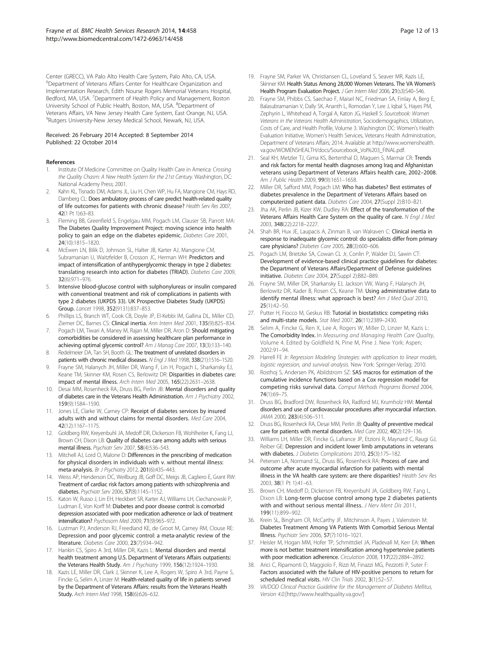<span id="page-11-0"></span>Center (GRECC), VA Palo Alto Health Care System, Palo Alto, CA, USA. 6 Department of Veterans Affairs Center for Healthcare Organization and Implementation Research, Edith Nourse Rogers Memorial Veterans Hospital, Bedford, MA, USA. <sup>7</sup>Department of Health Policy and Management, Boston University School of Public Health, Boston, MA, USA. <sup>8</sup>Department of Veterans Affairs, VA New Jersey Health Care System, East Orange, NJ, USA. 9 Rutgers University-New Jersey Medical School, Newark, NJ, USA.

#### Received: 26 February 2014 Accepted: 8 September 2014 Published: 22 October 2014

#### References

- 1. Institute Of Medicine Committee on Quality Health Care in America: Crossing the Quality Chasm: A New Health System for the 21st Century. Washington, DC: National Academy Press; 2001.
- 2. Kahn KL, Tisnado DM, Adams JL, Liu H, Chen WP, Hu FA, Mangione CM, Hays RD, Damberg CL: Does ambulatory process of care predict health-related quality of life outcomes for patients with chronic disease? Health Serv Res 2007, 42(1 Pt 1):63–83.
- Fleming BB, Greenfield S, Engelgau MM, Pogach LM, Clauser SB, Parrott MA: The Diabetes Quality Improvement Project: moving science into health policy to gain an edge on the diabetes epidemic. Diabetes Care 2001, 24(10):1815–1820.
- 4. McEwen LN, Bilik D, Johnson SL, Halter JB, Karter AJ, Mangione CM, Subramanian U, Waitzfelder B, Crosson JC, Herman WH: Predictors and impact of intensification of antihyperglycemic therapy in type 2 diabetes: translating research into action for diabetes (TRIAD). Diabetes Care 2009, 32(6):971–976.
- Intensive blood-glucose control with sulphonylureas or insulin compared with conventional treatment and risk of complications in patients with type 2 diabetes (UKPDS 33). UK Prospective Diabetes Study (UKPDS) Group. Lancet 1998, 352(9131):837–853.
- Phillips LS, Branch WT, Cook CB, Doyle JP, El-Kebbi IM, Gallina DL, Miller CD, Ziemer DC, Barnes CS: Clinical inertia. Ann Intern Med 2001, 135(9):825–834.
- 7. Pogach LM, Tiwari A, Maney M, Rajan M, Miller DR, Aron D: Should mitigating comorbidities be considered in assessing healthcare plan performance in achieving optimal glycemic control? Am J Manag Care 2007, 13(3):133–140.
- 8. Redelmeier DA, Tan SH, Booth GL: The treatment of unrelated disorders in patients with chronic medical diseases. N Engl J Med 1998, 338(21):1516–1520.
- 9. Frayne SM, Halanych JH, Miller DR, Wang F, Lin H, Pogach L, Sharkansky EJ, Keane TM, Skinner KM, Rosen CS, Berlowitz DR: Disparities in diabetes care: impact of mental illness. Arch Intern Med 2005, 165(22):2631–2638.
- 10. Desai MM, Rosenheck RA, Druss BG, Perlin JB: Mental disorders and quality of diabetes care in the Veterans Health Administration. Am J Psychiatry 2002, 159(9):1584–1590.
- 11. Jones LE, Clarke W, Carney CP: Receipt of diabetes services by insured adults with and without claims for mental disorders. Med Care 2004, 42(12):1167–1175.
- 12. Goldberg RW, Kreyenbuhl JA, Medoff DR, Dickerson FB, Wohlheiter K, Fang LJ, Brown CH, Dixon LB: Quality of diabetes care among adults with serious mental illness. Psychiatr Serv 2007, 58(4):536–543.
- 13. Mitchell AJ, Lord O, Malone D: Differences in the prescribing of medication for physical disorders in individuals with v. without mental illness: meta-analysis. Br J Psychiatry 2012, 201(6):435–443.
- 14. Weiss AP, Henderson DC, Weilburg JB, Goff DC, Meigs JB, Cagliero E, Grant RW: Treatment of cardiac risk factors among patients with schizophrenia and diabetes. Psychiatr Serv 2006, 57(8):1145–1152.
- Katon W, Russo J, Lin EH, Heckbert SR, Karter AJ, Williams LH, Ciechanowski P, Ludman E, Von Korff M: Diabetes and poor disease control: is comorbid depression associated with poor medication adherence or lack of treatment intensification? Psychosom Med 2009, 71(9):965–972.
- 16. Lustman PJ, Anderson RJ, Freedland KE, de Groot M, Carney RM, Clouse RE: Depression and poor glycemic control: a meta-analytic review of the literature. Diabetes Care 2000, 23(7):934–942.
- 17. Hankin CS, Spiro A 3rd, Miller DR, Kazis L: Mental disorders and mental health treatment among U.S. Department of Veterans Affairs outpatients: the Veterans Health Study. Am J Psychiatry 1999, 156(12):1924-1930.
- Kazis LE, Miller DR, Clark J, Skinner K, Lee A, Rogers W, Spiro A 3rd, Payne S, Fincke G, Selim A, Linzer M: Health-related quality of life in patients served by the Department of Veterans Affairs: results from the Veterans Health Study. Arch Intern Med 1998, 158(6):626-632.
- 19. Frayne SM, Parker VA, Christiansen CL, Loveland S, Seaver MR, Kazis LE, Skinner KM: Health Status Among 28,000 Women Veterans. The VA Women's Health Program Evaluation Project. J Gen Intern Med 2006, 21(s3):S40-S46.
- 20. Frayne SM, Phibbs CS, Saechao F, Maisel NC, Friedman SA, Finlay A, Berg E, Balasubramanian V, Dally SK, Ananth L, Romodan Y, Lee J, Iqbal S, Hayes PM, Zephyrin L, Whitehead A, Torgal A, Katon JG, Haskell S: Sourcebook: Women Veterans in the Veterans Health Administration, Sociodemographics, Utilization, Costs of Care, and Health Profile, Volume 3. Washington DC: Women's Health Evaluation Initiative, Women's Health Services, Veterans Health Administration, Department of Veterans Affairs; 2014. Available at [http://www.womenshealth.](http://www.womenshealth.va.gov/WOMENSHEALTH/docs/Sourcebook_Vol%203_FINAL.pdf) [va.gov/WOMENSHEALTH/docs/Sourcebook\\_Vol%203\\_FINAL.pdf](http://www.womenshealth.va.gov/WOMENSHEALTH/docs/Sourcebook_Vol%203_FINAL.pdf).
- 21. Seal KH, Metzler TJ, Gima KS, Bertenthal D, Maguen S, Marmar CR: Trends and risk factors for mental health diagnoses among Iraq and Afghanistan veterans using Department of Veterans Affairs health care, 2002–2008. Am J Public Health 2009, 99(9):1651-1658.
- 22. Miller DR, Safford MM, Pogach LM: Who has diabetes? Best estimates of diabetes prevalence in the Department of Veterans Affairs based on computerized patient data. Diabetes Care 2004, 27(Suppl 2):B10–B21.
- 23. Jha AK, Perlin JB, Kizer KW, Dudley RA: Effect of the transformation of the Veterans Affairs Health Care System on the quality of care. N Engl J Med 2003, 348(22):2218–2227.
- 24. Shah BR, Hux JE, Laupacis A, Zinman B, van Walraven C: Clinical inertia in response to inadequate glycemic control: do specialists differ from primary care physicians? Diabetes Care 2005, 28(3):600–606.
- 25. Pogach LM, Brietzke SA, Cowan CL Jr, Conlin P, Walder DJ, Sawin CT: Development of evidence-based clinical practice guidelines for diabetes: the Department of Veterans Affairs/Department of Defense guidelines initiative. Diabetes Care 2004, 27(Suppl 2):B82-B89.
- 26. Frayne SM, Miller DR, Sharkansky EJ, Jackson VW, Wang F, Halanych JH, Berlowitz DR, Kader B, Rosen CS, Keane TM: Using administrative data to identify mental illness: what approach is best? Am J Med Qual 2010, 25(1):42–50.
- 27. Putter H, Fiocco M, Geskus RB: Tutorial in biostatistics: competing risks and multi-state models. Stat Med 2007, 26(11):2389–2430.
- 28. Selim A, Fincke G, Ren X, Lee A, Rogers W, Miller D, Linzer M, Kazis L: The Comorbidity Index. In Measuring and Managing Health Care Quality, Volume 4. Edited by Goldfield N, Pine M, Pine J. New York: Aspen; 2002:91–94.
- 29. Harrell FE Jr: Regression Modeling Strategies: with application to linear models, logistic regression, and survival analysis. New York: Springer-Verlag; 2010.
- 30. Rosthoj S, Andersen PK, Abildstrom SZ: SAS macros for estimation of the cumulative incidence functions based on a Cox regression model for competing risks survival data. Comput Methods Programs Biomed 2004, 74(1):69–75.
- 31. Druss BG, Bradford DW, Rosenheck RA, Radford MJ, Krumholz HM: Mental disorders and use of cardiovascular procedures after myocardial infarction. JAMA 2000, 283(4):506–511.
- 32. Druss BG, Rosenheck RA, Desai MM, Perlin JB: Quality of preventive medical care for patients with mental disorders. Med Care 2002, 40(2):129–136.
- 33. Williams LH, Miller DR, Fincke G, Lafrance JP, Etzioni R, Maynard C, Raugi GJ, Reiber GE: Depression and incident lower limb amputations in veterans with diabetes. J Diabetes Complications 2010, 25(3):175-182.
- 34. Petersen LA, Normand SL, Druss BG, Rosenheck RA: Process of care and outcome after acute myocardial infarction for patients with mental illness in the VA health care system: are there disparities? Health Serv Res 2003, 38(1 Pt 1):41–63.
- Brown CH, Medoff D, Dickerson FB, Kreyenbuhl JA, Goldberg RW, Fang L, Dixon LB: Long-term glucose control among type 2 diabetes patients with and without serious mental illness. J Nerv Ment Dis 2011, 199(11):899–902.
- 36. Krein SL, Bingham CR, McCarthy JF, Mitchinson A, Payes J, Valenstein M: Diabetes Treatment Among VA Patients With Comorbid Serious Mental Illness. Psychiatr Serv 2006, 57(7):1016–1021.
- 37. Heisler M, Hogan MM, Hofer TP, Schmittdiel JA, Pladevall M, Kerr EA: When more is not better: treatment intensification among hypertensive patients with poor medication adherence. Circulation 2008, 117(22):2884–2892.
- 38. Arici C, Ripamonti D, Maggiolo F, Rizzi M, Finazzi MG, Pezzotti P, Suter F: Factors associated with the failure of HIV-positive persons to return for scheduled medical visits. HIV Clin Trials 2002, 3(1):52–57.
- 39. VA/DOD Clinical Practice Guideline for the Management of Diabetes Mellitus, Version 4.0.[\[http://www.healthquality.va.gov/\]](http://www.healthquality.va.gov/)